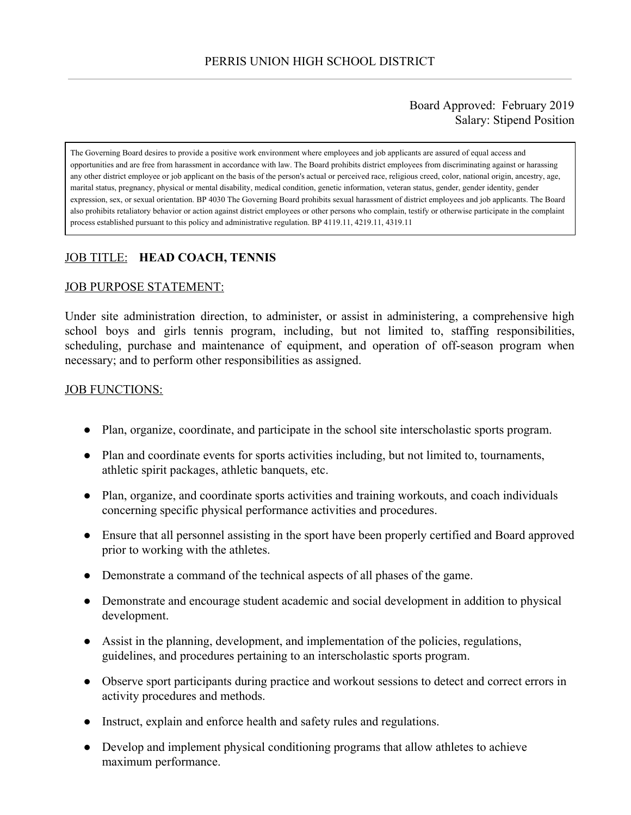## Board Approved: February 2019 Salary: Stipend Position

The Governing Board desires to provide a positive work environment where employees and job applicants are assured of equal access and opportunities and are free from harassment in accordance with law. The Board prohibits district employees from discriminating against or harassing any other district employee or job applicant on the basis of the person's actual or perceived race, religious creed, color, national origin, ancestry, age, marital status, pregnancy, physical or mental disability, medical condition, genetic information, veteran status, gender, gender identity, gender expression, sex, or sexual orientation. BP 4030 The Governing Board prohibits sexual harassment of district employees and job applicants. The Board also prohibits retaliatory behavior or action against district employees or other persons who complain, testify or otherwise participate in the complaint process established pursuant to this policy and administrative regulation. BP 4119.11, 4219.11, 4319.11

# JOB TITLE: **HEAD COACH, TENNIS**

#### JOB PURPOSE STATEMENT:

Under site administration direction, to administer, or assist in administering, a comprehensive high school boys and girls tennis program, including, but not limited to, staffing responsibilities, scheduling, purchase and maintenance of equipment, and operation of off-season program when necessary; and to perform other responsibilities as assigned.

#### JOB FUNCTIONS:

- Plan, organize, coordinate, and participate in the school site interscholastic sports program.
- Plan and coordinate events for sports activities including, but not limited to, tournaments, athletic spirit packages, athletic banquets, etc.
- Plan, organize, and coordinate sports activities and training workouts, and coach individuals concerning specific physical performance activities and procedures.
- Ensure that all personnel assisting in the sport have been properly certified and Board approved prior to working with the athletes.
- Demonstrate a command of the technical aspects of all phases of the game.
- Demonstrate and encourage student academic and social development in addition to physical development.
- Assist in the planning, development, and implementation of the policies, regulations, guidelines, and procedures pertaining to an interscholastic sports program.
- Observe sport participants during practice and workout sessions to detect and correct errors in activity procedures and methods.
- Instruct, explain and enforce health and safety rules and regulations.
- Develop and implement physical conditioning programs that allow athletes to achieve maximum performance.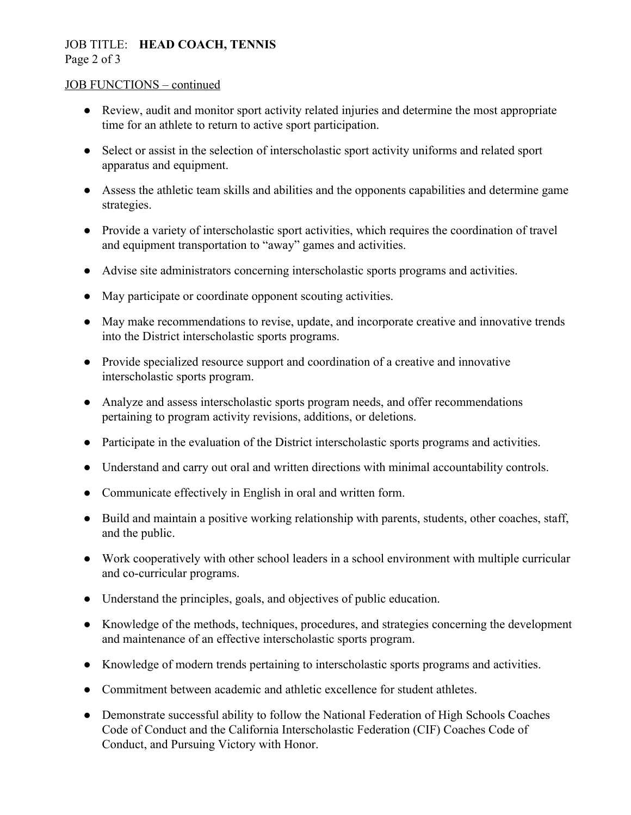## JOB TITLE: **HEAD COACH, TENNIS** Page 2 of 3

#### JOB FUNCTIONS – continued

- Review, audit and monitor sport activity related injuries and determine the most appropriate time for an athlete to return to active sport participation.
- Select or assist in the selection of interscholastic sport activity uniforms and related sport apparatus and equipment.
- Assess the athletic team skills and abilities and the opponents capabilities and determine game strategies.
- Provide a variety of interscholastic sport activities, which requires the coordination of travel and equipment transportation to "away" games and activities.
- Advise site administrators concerning interscholastic sports programs and activities.
- May participate or coordinate opponent scouting activities.
- May make recommendations to revise, update, and incorporate creative and innovative trends into the District interscholastic sports programs.
- Provide specialized resource support and coordination of a creative and innovative interscholastic sports program.
- Analyze and assess interscholastic sports program needs, and offer recommendations pertaining to program activity revisions, additions, or deletions.
- Participate in the evaluation of the District interscholastic sports programs and activities.
- Understand and carry out oral and written directions with minimal accountability controls.
- Communicate effectively in English in oral and written form.
- Build and maintain a positive working relationship with parents, students, other coaches, staff, and the public.
- Work cooperatively with other school leaders in a school environment with multiple curricular and co-curricular programs.
- Understand the principles, goals, and objectives of public education.
- Knowledge of the methods, techniques, procedures, and strategies concerning the development and maintenance of an effective interscholastic sports program.
- Knowledge of modern trends pertaining to interscholastic sports programs and activities.
- Commitment between academic and athletic excellence for student athletes.
- Demonstrate successful ability to follow the National Federation of High Schools Coaches Code of Conduct and the California Interscholastic Federation (CIF) Coaches Code of Conduct, and Pursuing Victory with Honor.